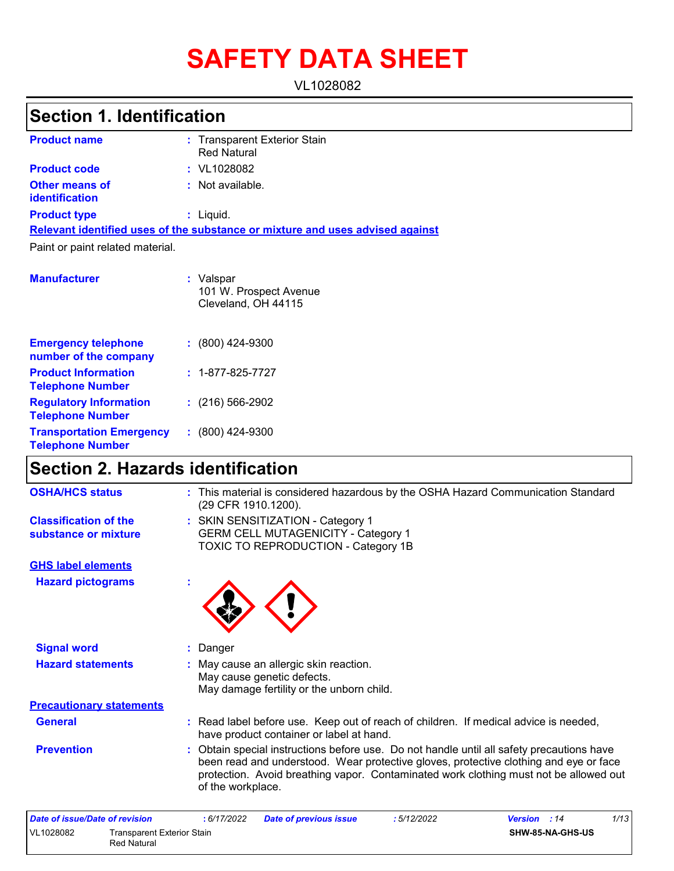# **SAFETY DATA SHEET**

VL1028082

## **Section 1. Identification**

| <b>Product name</b>                            | : Transparent Exterior Stain<br><b>Red Natural</b>                            |
|------------------------------------------------|-------------------------------------------------------------------------------|
| <b>Product code</b>                            | $:$ VL1028082                                                                 |
| <b>Other means of</b><br><b>identification</b> | : Not available.                                                              |
| <b>Product type</b>                            | $:$ Liquid.                                                                   |
|                                                | Relevant identified uses of the substance or mixture and uses advised against |
| Paint or paint related material.               |                                                                               |
| <b>Manufacturer</b>                            | : Valspar<br>101 W. Prospect Avenue<br>Cleveland, OH 44115                    |

| <b>Emergency telephone</b><br>number of the company        | $: (800)$ 424-9300       |
|------------------------------------------------------------|--------------------------|
| <b>Product Information</b><br><b>Telephone Number</b>      | $: 1 - 877 - 825 - 7727$ |
| <b>Regulatory Information</b><br><b>Telephone Number</b>   | $: (216) 566 - 2902$     |
| <b>Transportation Emergency</b><br><b>Telephone Number</b> | $: (800)$ 424-9300       |

## **Section 2. Hazards identification**

| <b>OSHA/HCS status</b>                               | : This material is considered hazardous by the OSHA Hazard Communication Standard<br>(29 CFR 1910.1200).                                                                                                                                                                                         |
|------------------------------------------------------|--------------------------------------------------------------------------------------------------------------------------------------------------------------------------------------------------------------------------------------------------------------------------------------------------|
| <b>Classification of the</b><br>substance or mixture | : SKIN SENSITIZATION - Category 1<br><b>GERM CELL MUTAGENICITY - Category 1</b><br><b>TOXIC TO REPRODUCTION - Category 1B</b>                                                                                                                                                                    |
| <b>GHS label elements</b>                            |                                                                                                                                                                                                                                                                                                  |
| <b>Hazard pictograms</b>                             |                                                                                                                                                                                                                                                                                                  |
| <b>Signal word</b>                                   | Danger                                                                                                                                                                                                                                                                                           |
| <b>Hazard statements</b>                             | : May cause an allergic skin reaction.<br>May cause genetic defects.<br>May damage fertility or the unborn child.                                                                                                                                                                                |
| <b>Precautionary statements</b>                      |                                                                                                                                                                                                                                                                                                  |
| <b>General</b>                                       | : Read label before use. Keep out of reach of children. If medical advice is needed,<br>have product container or label at hand.                                                                                                                                                                 |
| <b>Prevention</b>                                    | : Obtain special instructions before use. Do not handle until all safety precautions have<br>been read and understood. Wear protective gloves, protective clothing and eye or face<br>protection. Avoid breathing vapor. Contaminated work clothing must not be allowed out<br>of the workplace. |
| Data of issue/Data of revision                       | 1/12<br>. 6/17/2022<br>• 5/19/9099<br>Data of province issue<br>$U$                                                                                                                                                                                                                              |

| Date of issue/Date of revision |                                           | : 6/17/2022 | <b>Date of previous issue</b> | : 5/12/2022 | <b>Version</b> : 14 | 1/13 |
|--------------------------------|-------------------------------------------|-------------|-------------------------------|-------------|---------------------|------|
| VL1028082                      | Transparent Exterior Stain<br>Red Natural |             |                               |             | SHW-85-NA-GHS-US    |      |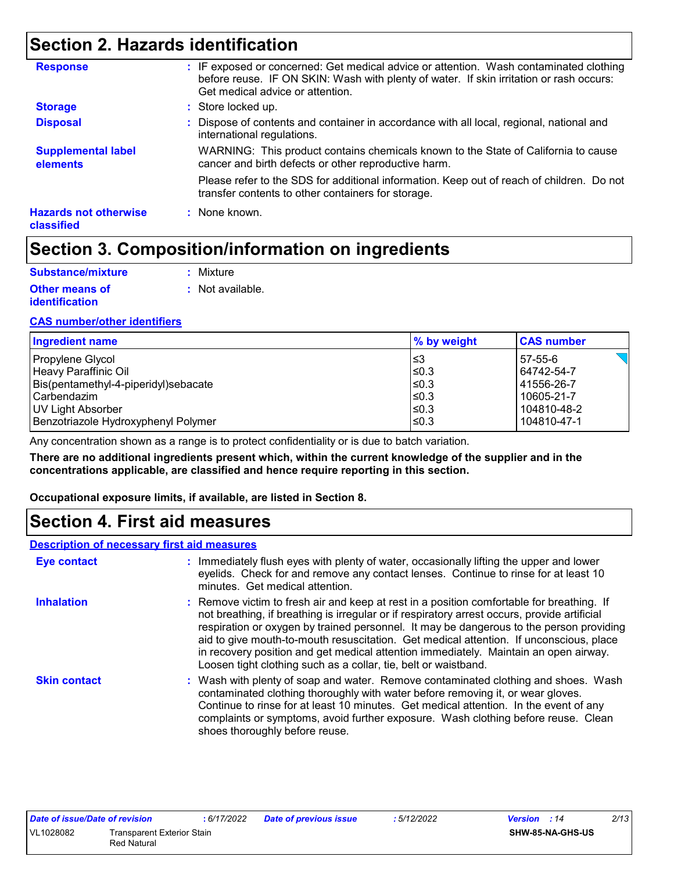## **Section 2. Hazards identification**

| <b>Response</b>                            | : IF exposed or concerned: Get medical advice or attention. Wash contaminated clothing<br>before reuse. IF ON SKIN: Wash with plenty of water. If skin irritation or rash occurs:<br>Get medical advice or attention. |
|--------------------------------------------|-----------------------------------------------------------------------------------------------------------------------------------------------------------------------------------------------------------------------|
| <b>Storage</b>                             | : Store locked up.                                                                                                                                                                                                    |
| <b>Disposal</b>                            | : Dispose of contents and container in accordance with all local, regional, national and<br>international regulations.                                                                                                |
| <b>Supplemental label</b><br>elements      | WARNING: This product contains chemicals known to the State of California to cause<br>cancer and birth defects or other reproductive harm.                                                                            |
|                                            | Please refer to the SDS for additional information. Keep out of reach of children. Do not<br>transfer contents to other containers for storage.                                                                       |
| <b>Hazards not otherwise</b><br>classified | : None known.                                                                                                                                                                                                         |

## **Section 3. Composition/information on ingredients**

| Substance/mixture     | : Mixture        |
|-----------------------|------------------|
| <b>Other means of</b> | : Not available. |
| <b>identification</b> |                  |

#### **CAS number/other identifiers**

| <b>Ingredient name</b>               | % by weight | <b>CAS number</b> |
|--------------------------------------|-------------|-------------------|
| Propylene Glycol                     | ∣≤3         | 57-55-6           |
| Heavy Paraffinic Oil                 | l≤0.3       | 64742-54-7        |
| Bis(pentamethyl-4-piperidyl)sebacate | l≤0.3       | 41556-26-7        |
| l Carbendazim                        | $≤0.3$      | 10605-21-7        |
| UV Light Absorber                    | 1≤0.3       | 104810-48-2       |
| Benzotriazole Hydroxyphenyl Polymer  | ≤0.3        | 104810-47-1       |

Any concentration shown as a range is to protect confidentiality or is due to batch variation.

**There are no additional ingredients present which, within the current knowledge of the supplier and in the concentrations applicable, are classified and hence require reporting in this section.**

**Occupational exposure limits, if available, are listed in Section 8.**

### **Section 4. First aid measures**

#### **Description of necessary first aid measures**

| <b>Eye contact</b>  | : Immediately flush eyes with plenty of water, occasionally lifting the upper and lower<br>eyelids. Check for and remove any contact lenses. Continue to rinse for at least 10<br>minutes. Get medical attention.                                                                                                                                                                                                                                                                                                                         |
|---------------------|-------------------------------------------------------------------------------------------------------------------------------------------------------------------------------------------------------------------------------------------------------------------------------------------------------------------------------------------------------------------------------------------------------------------------------------------------------------------------------------------------------------------------------------------|
| <b>Inhalation</b>   | : Remove victim to fresh air and keep at rest in a position comfortable for breathing. If<br>not breathing, if breathing is irregular or if respiratory arrest occurs, provide artificial<br>respiration or oxygen by trained personnel. It may be dangerous to the person providing<br>aid to give mouth-to-mouth resuscitation. Get medical attention. If unconscious, place<br>in recovery position and get medical attention immediately. Maintain an open airway.<br>Loosen tight clothing such as a collar, tie, belt or waistband. |
| <b>Skin contact</b> | : Wash with plenty of soap and water. Remove contaminated clothing and shoes. Wash<br>contaminated clothing thoroughly with water before removing it, or wear gloves.<br>Continue to rinse for at least 10 minutes. Get medical attention. In the event of any<br>complaints or symptoms, avoid further exposure. Wash clothing before reuse. Clean<br>shoes thoroughly before reuse.                                                                                                                                                     |

| <b>Date of issue/Date of revision</b> |                                   | 6/17/2022 | Date of previous issue | 5/12/2022 | <b>Version</b> : 14     | 2/13 |
|---------------------------------------|-----------------------------------|-----------|------------------------|-----------|-------------------------|------|
| VL1028082                             | <b>Transparent Exterior Stain</b> |           |                        |           | <b>SHW-85-NA-GHS-US</b> |      |
|                                       | Red Natural                       |           |                        |           |                         |      |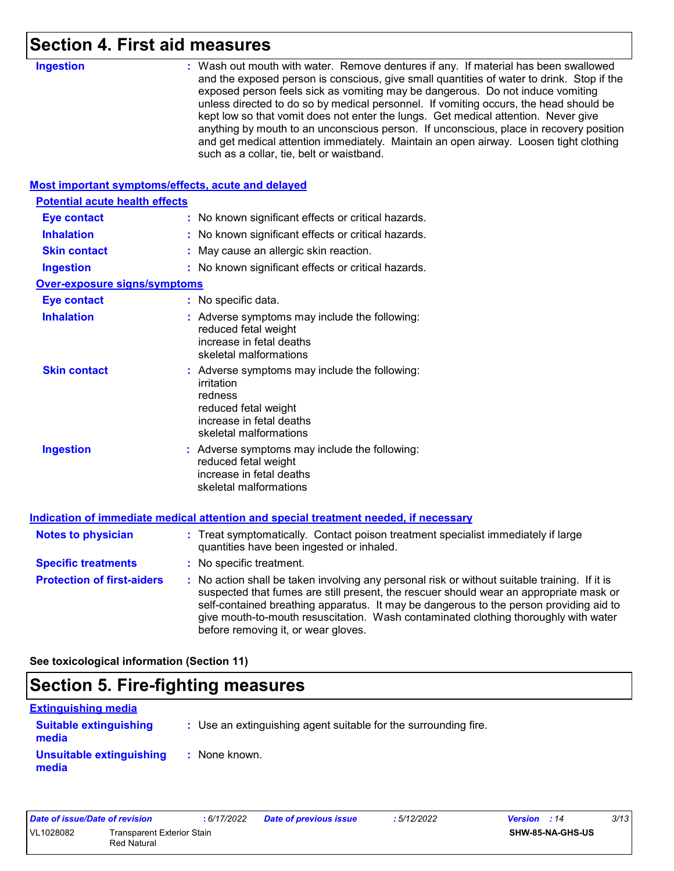## **Section 4. First aid measures**

| <b>Ingestion</b>                                   | : Wash out mouth with water. Remove dentures if any. If material has been swallowed<br>and the exposed person is conscious, give small quantities of water to drink. Stop if the<br>exposed person feels sick as vomiting may be dangerous. Do not induce vomiting<br>unless directed to do so by medical personnel. If vomiting occurs, the head should be<br>kept low so that vomit does not enter the lungs. Get medical attention. Never give<br>anything by mouth to an unconscious person. If unconscious, place in recovery position<br>and get medical attention immediately. Maintain an open airway. Loosen tight clothing<br>such as a collar, tie, belt or waistband. |
|----------------------------------------------------|-----------------------------------------------------------------------------------------------------------------------------------------------------------------------------------------------------------------------------------------------------------------------------------------------------------------------------------------------------------------------------------------------------------------------------------------------------------------------------------------------------------------------------------------------------------------------------------------------------------------------------------------------------------------------------------|
| Most important symptoms/effects, acute and delayed |                                                                                                                                                                                                                                                                                                                                                                                                                                                                                                                                                                                                                                                                                   |
| <b>Potential acute health effects</b>              |                                                                                                                                                                                                                                                                                                                                                                                                                                                                                                                                                                                                                                                                                   |
| <b>Eye contact</b>                                 | : No known significant effects or critical hazards.                                                                                                                                                                                                                                                                                                                                                                                                                                                                                                                                                                                                                               |
| <b>Inhalation</b>                                  | : No known significant effects or critical hazards.                                                                                                                                                                                                                                                                                                                                                                                                                                                                                                                                                                                                                               |
| <b>Skin contact</b>                                | May cause an allergic skin reaction.                                                                                                                                                                                                                                                                                                                                                                                                                                                                                                                                                                                                                                              |
| <b>Ingestion</b>                                   | : No known significant effects or critical hazards.                                                                                                                                                                                                                                                                                                                                                                                                                                                                                                                                                                                                                               |
| <b>Over-exposure signs/symptoms</b>                |                                                                                                                                                                                                                                                                                                                                                                                                                                                                                                                                                                                                                                                                                   |
| <b>Eye contact</b>                                 | : No specific data.                                                                                                                                                                                                                                                                                                                                                                                                                                                                                                                                                                                                                                                               |
| <b>Inhalation</b>                                  | : Adverse symptoms may include the following:<br>reduced fetal weight<br>increase in fetal deaths<br>skeletal malformations                                                                                                                                                                                                                                                                                                                                                                                                                                                                                                                                                       |
| <b>Skin contact</b>                                | : Adverse symptoms may include the following:<br>irritation<br>redness<br>reduced fetal weight<br>increase in fetal deaths<br>skeletal malformations                                                                                                                                                                                                                                                                                                                                                                                                                                                                                                                              |
| <b>Ingestion</b>                                   | : Adverse symptoms may include the following:<br>reduced fetal weight<br>increase in fetal deaths<br>skeletal malformations                                                                                                                                                                                                                                                                                                                                                                                                                                                                                                                                                       |
|                                                    | Indication of immediate medical attention and special treatment needed, if necessary                                                                                                                                                                                                                                                                                                                                                                                                                                                                                                                                                                                              |
| <b>Notes to physician</b>                          | : Treat symptomatically. Contact poison treatment specialist immediately if large<br>quantities have been ingested or inhaled.                                                                                                                                                                                                                                                                                                                                                                                                                                                                                                                                                    |
| <b>Specific treatments</b>                         | : No specific treatment.                                                                                                                                                                                                                                                                                                                                                                                                                                                                                                                                                                                                                                                          |
| <b>Protection of first-aiders</b>                  | : No action shall be taken involving any personal risk or without suitable training. If it is<br>suspected that fumes are still present, the rescuer should wear an appropriate mask or<br>self-contained breathing apparatus. It may be dangerous to the person providing aid to<br>give mouth-to-mouth resuscitation. Wash contaminated clothing thoroughly with water<br>before removing it, or wear gloves.                                                                                                                                                                                                                                                                   |
|                                                    |                                                                                                                                                                                                                                                                                                                                                                                                                                                                                                                                                                                                                                                                                   |

**See toxicological information (Section 11)**

## **Section 5. Fire-fighting measures**

| <u>Extinguishing media</u>             |                                                                 |
|----------------------------------------|-----------------------------------------------------------------|
| <b>Suitable extinguishing</b><br>media | : Use an extinguishing agent suitable for the surrounding fire. |
| Unsuitable extinguishing<br>media      | : None known.                                                   |

| Date of issue/Date of revision |                                                  | : 6/17/2022 | <b>Date of previous issue</b> | :5/12/2022 | <b>Version</b> : 14     | 3/13 |
|--------------------------------|--------------------------------------------------|-------------|-------------------------------|------------|-------------------------|------|
| VL1028082                      | <b>Transparent Exterior Stain</b><br>Red Natural |             |                               |            | <b>SHW-85-NA-GHS-US</b> |      |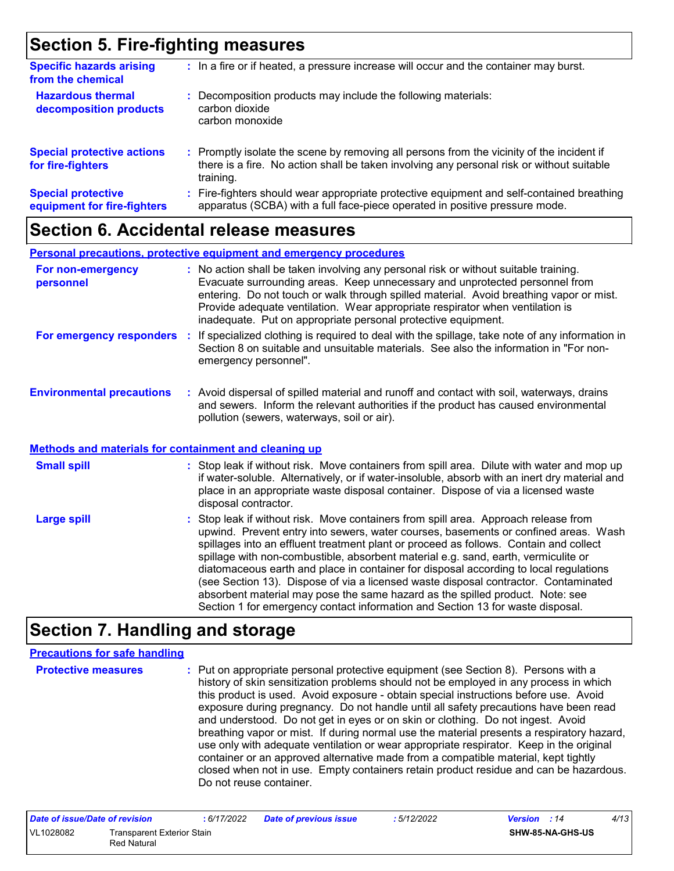## **Section 5. Fire-fighting measures**

| <b>Specific hazards arising</b><br>from the chemical     | : In a fire or if heated, a pressure increase will occur and the container may burst.                                                                                                               |
|----------------------------------------------------------|-----------------------------------------------------------------------------------------------------------------------------------------------------------------------------------------------------|
| <b>Hazardous thermal</b><br>decomposition products       | : Decomposition products may include the following materials:<br>carbon dioxide<br>carbon monoxide                                                                                                  |
| <b>Special protective actions</b><br>for fire-fighters   | : Promptly isolate the scene by removing all persons from the vicinity of the incident if<br>there is a fire. No action shall be taken involving any personal risk or without suitable<br>training. |
| <b>Special protective</b><br>equipment for fire-fighters | : Fire-fighters should wear appropriate protective equipment and self-contained breathing<br>apparatus (SCBA) with a full face-piece operated in positive pressure mode.                            |

### **Section 6. Accidental release measures**

|                                  | <b>Personal precautions, protective equipment and emergency procedures</b>                                                                                                                                                                                                                                                                                                                                       |
|----------------------------------|------------------------------------------------------------------------------------------------------------------------------------------------------------------------------------------------------------------------------------------------------------------------------------------------------------------------------------------------------------------------------------------------------------------|
| For non-emergency<br>personnel   | : No action shall be taken involving any personal risk or without suitable training.<br>Evacuate surrounding areas. Keep unnecessary and unprotected personnel from<br>entering. Do not touch or walk through spilled material. Avoid breathing vapor or mist.<br>Provide adequate ventilation. Wear appropriate respirator when ventilation is<br>inadequate. Put on appropriate personal protective equipment. |
| For emergency responders         | : If specialized clothing is required to deal with the spillage, take note of any information in<br>Section 8 on suitable and unsuitable materials. See also the information in "For non-<br>emergency personnel".                                                                                                                                                                                               |
| <b>Environmental precautions</b> | : Avoid dispersal of spilled material and runoff and contact with soil, waterways, drains<br>and sewers. Inform the relevant authorities if the product has caused environmental<br>pollution (sewers, waterways, soil or air).                                                                                                                                                                                  |

#### **Methods and materials for containment and cleaning up**

| <b>Small spill</b> | : Stop leak if without risk. Move containers from spill area. Dilute with water and mop up<br>if water-soluble. Alternatively, or if water-insoluble, absorb with an inert dry material and<br>place in an appropriate waste disposal container. Dispose of via a licensed waste<br>disposal contractor.                                                                                                                                                                                                                                                                                                                                                                                                     |
|--------------------|--------------------------------------------------------------------------------------------------------------------------------------------------------------------------------------------------------------------------------------------------------------------------------------------------------------------------------------------------------------------------------------------------------------------------------------------------------------------------------------------------------------------------------------------------------------------------------------------------------------------------------------------------------------------------------------------------------------|
| <b>Large spill</b> | : Stop leak if without risk. Move containers from spill area. Approach release from<br>upwind. Prevent entry into sewers, water courses, basements or confined areas. Wash<br>spillages into an effluent treatment plant or proceed as follows. Contain and collect<br>spillage with non-combustible, absorbent material e.g. sand, earth, vermiculite or<br>diatomaceous earth and place in container for disposal according to local regulations<br>(see Section 13). Dispose of via a licensed waste disposal contractor. Contaminated<br>absorbent material may pose the same hazard as the spilled product. Note: see<br>Section 1 for emergency contact information and Section 13 for waste disposal. |

### **Section 7. Handling and storage**

#### **Precautions for safe handling**

**Protective measures :** Put on appropriate personal protective equipment (see Section 8). Persons with a history of skin sensitization problems should not be employed in any process in which this product is used. Avoid exposure - obtain special instructions before use. Avoid exposure during pregnancy. Do not handle until all safety precautions have been read and understood. Do not get in eyes or on skin or clothing. Do not ingest. Avoid breathing vapor or mist. If during normal use the material presents a respiratory hazard, use only with adequate ventilation or wear appropriate respirator. Keep in the original container or an approved alternative made from a compatible material, kept tightly closed when not in use. Empty containers retain product residue and can be hazardous. Do not reuse container.

| Date of issue/Date of revision |                                                  | : 6/17/2022 | <b>Date of previous issue</b> | : 5/12/2022 | <b>Version</b> : 14     | 4/13 |
|--------------------------------|--------------------------------------------------|-------------|-------------------------------|-------------|-------------------------|------|
| VL1028082                      | <b>Transparent Exterior Stain</b><br>Red Natural |             |                               |             | <b>SHW-85-NA-GHS-US</b> |      |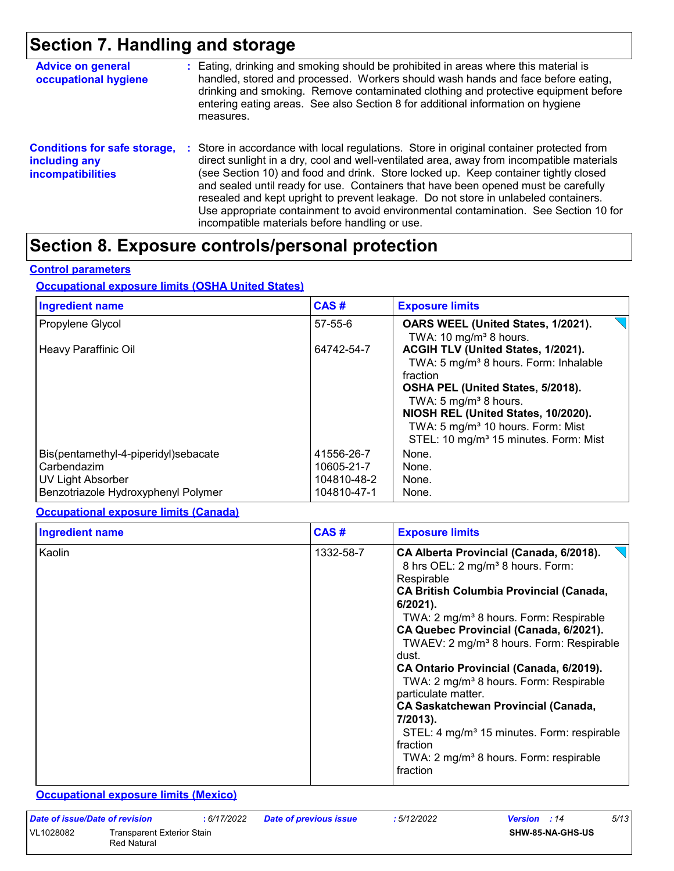## **Section 7. Handling and storage**

| <b>Advice on general</b><br>occupational hygiene                                 | : Eating, drinking and smoking should be prohibited in areas where this material is<br>handled, stored and processed. Workers should wash hands and face before eating,<br>drinking and smoking. Remove contaminated clothing and protective equipment before<br>entering eating areas. See also Section 8 for additional information on hygiene<br>measures.                                                                                                                                                                                                                                       |
|----------------------------------------------------------------------------------|-----------------------------------------------------------------------------------------------------------------------------------------------------------------------------------------------------------------------------------------------------------------------------------------------------------------------------------------------------------------------------------------------------------------------------------------------------------------------------------------------------------------------------------------------------------------------------------------------------|
| <b>Conditions for safe storage,</b><br>including any<br><b>incompatibilities</b> | : Store in accordance with local regulations. Store in original container protected from<br>direct sunlight in a dry, cool and well-ventilated area, away from incompatible materials<br>(see Section 10) and food and drink. Store locked up. Keep container tightly closed<br>and sealed until ready for use. Containers that have been opened must be carefully<br>resealed and kept upright to prevent leakage. Do not store in unlabeled containers.<br>Use appropriate containment to avoid environmental contamination. See Section 10 for<br>incompatible materials before handling or use. |

## **Section 8. Exposure controls/personal protection**

#### **Control parameters**

#### **Occupational exposure limits (OSHA United States)**

| <b>Ingredient name</b>                                                                                          | CAS#                                                   | <b>Exposure limits</b>                                                                                                                                                                                                                                                                                           |
|-----------------------------------------------------------------------------------------------------------------|--------------------------------------------------------|------------------------------------------------------------------------------------------------------------------------------------------------------------------------------------------------------------------------------------------------------------------------------------------------------------------|
| Propylene Glycol                                                                                                | 57-55-6                                                | OARS WEEL (United States, 1/2021).<br>TWA: 10 mg/m <sup>3</sup> 8 hours.                                                                                                                                                                                                                                         |
| Heavy Paraffinic Oil                                                                                            | 64742-54-7                                             | ACGIH TLV (United States, 1/2021).<br>TWA: 5 mg/m <sup>3</sup> 8 hours. Form: Inhalable<br>fraction<br>OSHA PEL (United States, 5/2018).<br>TWA: 5 $mg/m3$ 8 hours.<br>NIOSH REL (United States, 10/2020).<br>TWA: 5 mg/m <sup>3</sup> 10 hours. Form: Mist<br>STEL: 10 mg/m <sup>3</sup> 15 minutes. Form: Mist |
| Bis(pentamethyl-4-piperidyl)sebacate<br>Carbendazim<br>UV Light Absorber<br>Benzotriazole Hydroxyphenyl Polymer | 41556-26-7<br>10605-21-7<br>104810-48-2<br>104810-47-1 | None.<br>None.<br>None.<br>None.                                                                                                                                                                                                                                                                                 |

#### **Occupational exposure limits (Canada)**

| <b>Ingredient name</b> | CAS#      | <b>Exposure limits</b>                                                                                                                                                                                                                                                                                                                                                                                                                                                                                                                                                                                                                                             |
|------------------------|-----------|--------------------------------------------------------------------------------------------------------------------------------------------------------------------------------------------------------------------------------------------------------------------------------------------------------------------------------------------------------------------------------------------------------------------------------------------------------------------------------------------------------------------------------------------------------------------------------------------------------------------------------------------------------------------|
| Kaolin                 | 1332-58-7 | CA Alberta Provincial (Canada, 6/2018).<br>8 hrs OEL: 2 mg/m <sup>3</sup> 8 hours. Form:<br>Respirable<br><b>CA British Columbia Provincial (Canada,</b><br>$6/2021$ ).<br>TWA: 2 mg/m <sup>3</sup> 8 hours. Form: Respirable<br>CA Quebec Provincial (Canada, 6/2021).<br>TWAEV: 2 mg/m <sup>3</sup> 8 hours. Form: Respirable<br>dust.<br>CA Ontario Provincial (Canada, 6/2019).<br>TWA: 2 mg/m <sup>3</sup> 8 hours. Form: Respirable<br>particulate matter.<br><b>CA Saskatchewan Provincial (Canada,</b><br>7/2013).<br>STEL: 4 mg/m <sup>3</sup> 15 minutes. Form: respirable<br>fraction<br>TWA: 2 mg/m <sup>3</sup> 8 hours. Form: respirable<br>fraction |

#### **Occupational exposure limits (Mexico)**

| Date of issue/Date of revision |                                           | : 6/17/2022 | <b>Date of previous issue</b> | : 5/12/2022 | <b>Version</b> : 14     | 5/13 |
|--------------------------------|-------------------------------------------|-------------|-------------------------------|-------------|-------------------------|------|
| VL1028082                      | Transparent Exterior Stain<br>Red Natural |             |                               |             | <b>SHW-85-NA-GHS-US</b> |      |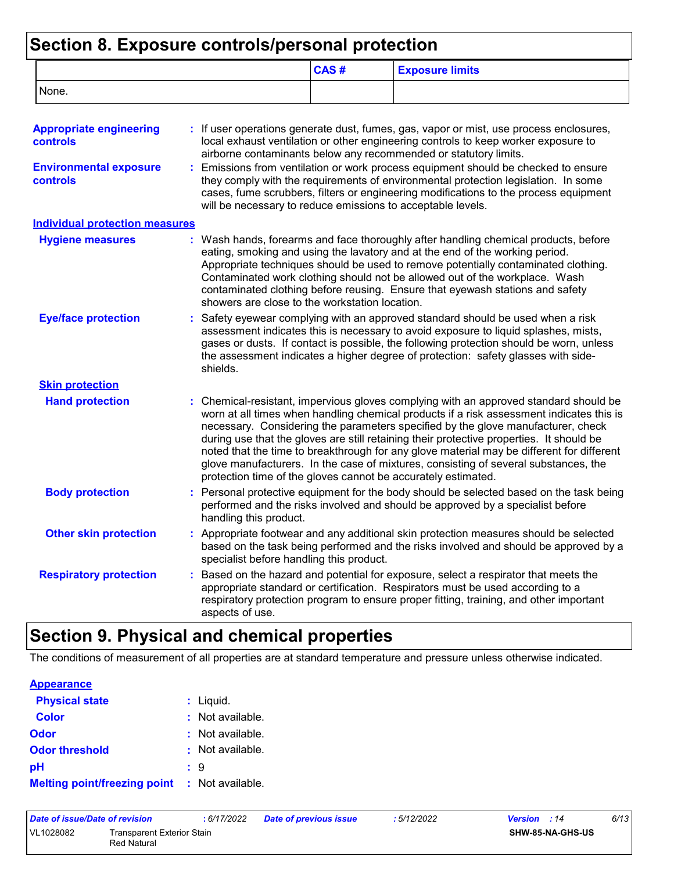## **Section 8. Exposure controls/personal protection**

|                                                   |                                                               | CAS# | <b>Exposure limits</b>                                                                                                                                                                                                                                                                                                                                                                                                                                                                                                                                |
|---------------------------------------------------|---------------------------------------------------------------|------|-------------------------------------------------------------------------------------------------------------------------------------------------------------------------------------------------------------------------------------------------------------------------------------------------------------------------------------------------------------------------------------------------------------------------------------------------------------------------------------------------------------------------------------------------------|
| None.                                             |                                                               |      |                                                                                                                                                                                                                                                                                                                                                                                                                                                                                                                                                       |
| <b>Appropriate engineering</b><br><b>controls</b> |                                                               |      | : If user operations generate dust, fumes, gas, vapor or mist, use process enclosures,<br>local exhaust ventilation or other engineering controls to keep worker exposure to<br>airborne contaminants below any recommended or statutory limits.                                                                                                                                                                                                                                                                                                      |
| <b>Environmental exposure</b><br>controls         | will be necessary to reduce emissions to acceptable levels.   |      | Emissions from ventilation or work process equipment should be checked to ensure<br>they comply with the requirements of environmental protection legislation. In some<br>cases, fume scrubbers, filters or engineering modifications to the process equipment                                                                                                                                                                                                                                                                                        |
| <b>Individual protection measures</b>             |                                                               |      |                                                                                                                                                                                                                                                                                                                                                                                                                                                                                                                                                       |
| <b>Hygiene measures</b>                           | showers are close to the workstation location.                |      | : Wash hands, forearms and face thoroughly after handling chemical products, before<br>eating, smoking and using the lavatory and at the end of the working period.<br>Appropriate techniques should be used to remove potentially contaminated clothing.<br>Contaminated work clothing should not be allowed out of the workplace. Wash<br>contaminated clothing before reusing. Ensure that eyewash stations and safety                                                                                                                             |
| <b>Eye/face protection</b>                        | shields.                                                      |      | Safety eyewear complying with an approved standard should be used when a risk<br>assessment indicates this is necessary to avoid exposure to liquid splashes, mists,<br>gases or dusts. If contact is possible, the following protection should be worn, unless<br>the assessment indicates a higher degree of protection: safety glasses with side-                                                                                                                                                                                                  |
| <b>Skin protection</b>                            |                                                               |      |                                                                                                                                                                                                                                                                                                                                                                                                                                                                                                                                                       |
| <b>Hand protection</b>                            | protection time of the gloves cannot be accurately estimated. |      | : Chemical-resistant, impervious gloves complying with an approved standard should be<br>worn at all times when handling chemical products if a risk assessment indicates this is<br>necessary. Considering the parameters specified by the glove manufacturer, check<br>during use that the gloves are still retaining their protective properties. It should be<br>noted that the time to breakthrough for any glove material may be different for different<br>glove manufacturers. In the case of mixtures, consisting of several substances, the |
| <b>Body protection</b>                            | handling this product.                                        |      | : Personal protective equipment for the body should be selected based on the task being<br>performed and the risks involved and should be approved by a specialist before                                                                                                                                                                                                                                                                                                                                                                             |
| <b>Other skin protection</b>                      | specialist before handling this product.                      |      | : Appropriate footwear and any additional skin protection measures should be selected<br>based on the task being performed and the risks involved and should be approved by a                                                                                                                                                                                                                                                                                                                                                                         |
| <b>Respiratory protection</b>                     | aspects of use.                                               |      | Based on the hazard and potential for exposure, select a respirator that meets the<br>appropriate standard or certification. Respirators must be used according to a<br>respiratory protection program to ensure proper fitting, training, and other important                                                                                                                                                                                                                                                                                        |

## **Section 9. Physical and chemical properties**

The conditions of measurement of all properties are at standard temperature and pressure unless otherwise indicated.

| <b>Appearance</b>                                    |                             |
|------------------------------------------------------|-----------------------------|
| <b>Physical state</b>                                | $:$ Liquid.                 |
| <b>Color</b>                                         | $:$ Not available.          |
| Odor                                                 | $\therefore$ Not available. |
| <b>Odor threshold</b>                                | : Not available.            |
| рH                                                   | : 9                         |
| <b>Melting point/freezing point : Not available.</b> |                             |

| Date of issue/Date of revision |                                           | : 6/17/2022 | <b>Date of previous issue</b> | : 5/12/2022 | <b>Version</b> : 14 | 6/13 |
|--------------------------------|-------------------------------------------|-------------|-------------------------------|-------------|---------------------|------|
| VL1028082                      | Transparent Exterior Stain<br>Red Natural |             |                               |             | SHW-85-NA-GHS-US    |      |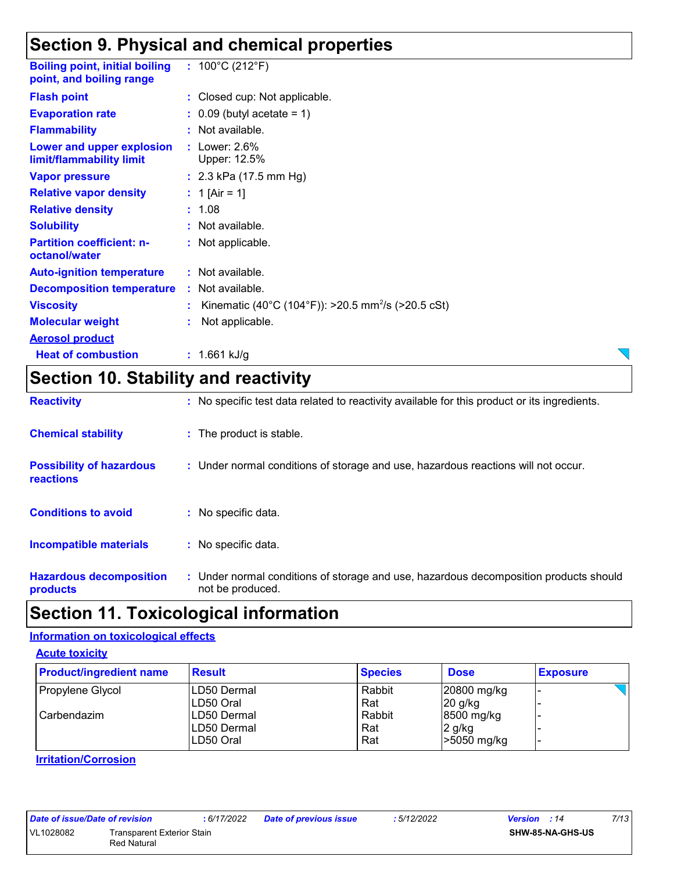## **Section 9. Physical and chemical properties**

| <b>Boiling point, initial boiling : 100°C (212°F)</b><br>point, and boiling range |                                                                  |
|-----------------------------------------------------------------------------------|------------------------------------------------------------------|
| <b>Flash point</b>                                                                | : Closed cup: Not applicable.                                    |
| <b>Evaporation rate</b>                                                           | $\therefore$ 0.09 (butyl acetate = 1)                            |
| <b>Flammability</b>                                                               | : Not available.                                                 |
| Lower and upper explosion<br>limit/flammability limit                             | $:$ Lower: 2.6%<br>Upper: 12.5%                                  |
| <b>Vapor pressure</b>                                                             | : $2.3$ kPa (17.5 mm Hg)                                         |
| <b>Relative vapor density</b>                                                     | : 1 [Air = 1]                                                    |
| <b>Relative density</b>                                                           | : 1.08                                                           |
| <b>Solubility</b>                                                                 | : Not available.                                                 |
| <b>Partition coefficient: n-</b><br>octanol/water                                 | : Not applicable.                                                |
| <b>Auto-ignition temperature</b>                                                  | : Not available.                                                 |
| <b>Decomposition temperature</b>                                                  | : Not available.                                                 |
| <b>Viscosity</b>                                                                  | : Kinematic (40°C (104°F)): >20.5 mm <sup>2</sup> /s (>20.5 cSt) |
| <b>Molecular weight</b>                                                           | Not applicable.                                                  |
| <b>Aerosol product</b>                                                            |                                                                  |
| <b>Heat of combustion</b>                                                         | : $1.661$ kJ/g                                                   |
|                                                                                   |                                                                  |

## **Section 10. Stability and reactivity**

| <b>Reactivity</b>                            | : No specific test data related to reactivity available for this product or its ingredients.              |
|----------------------------------------------|-----------------------------------------------------------------------------------------------------------|
| <b>Chemical stability</b>                    | : The product is stable.                                                                                  |
| <b>Possibility of hazardous</b><br>reactions | : Under normal conditions of storage and use, hazardous reactions will not occur.                         |
| <b>Conditions to avoid</b>                   | $:$ No specific data.                                                                                     |
| <b>Incompatible materials</b>                | : No specific data.                                                                                       |
| <b>Hazardous decomposition</b><br>products   | : Under normal conditions of storage and use, hazardous decomposition products should<br>not be produced. |

## **Section 11. Toxicological information**

#### **Information on toxicological effects**

**Acute toxicity**

| <b>Product/ingredient name</b> | <b>Result</b> | <b>Species</b> | <b>Dose</b> | <b>Exposure</b> |
|--------------------------------|---------------|----------------|-------------|-----------------|
| Propylene Glycol               | ILD50 Dermal  | Rabbit         | 20800 mg/kg |                 |
|                                | LD50 Oral     | Rat            | $20$ g/kg   |                 |
| l Carbendazim                  | ILD50 Dermal  | Rabbit         | 8500 mg/kg  |                 |
|                                | LD50 Dermal   | Rat            | 2 g/kg      |                 |
|                                | LD50 Oral     | Rat            | -5050 mg/kg |                 |

#### **Irritation/Corrosion**

|           | Date of issue/Date of revision |  |                      |  |
|-----------|--------------------------------|--|----------------------|--|
| VL1028082 |                                |  | <b>Transparent E</b> |  |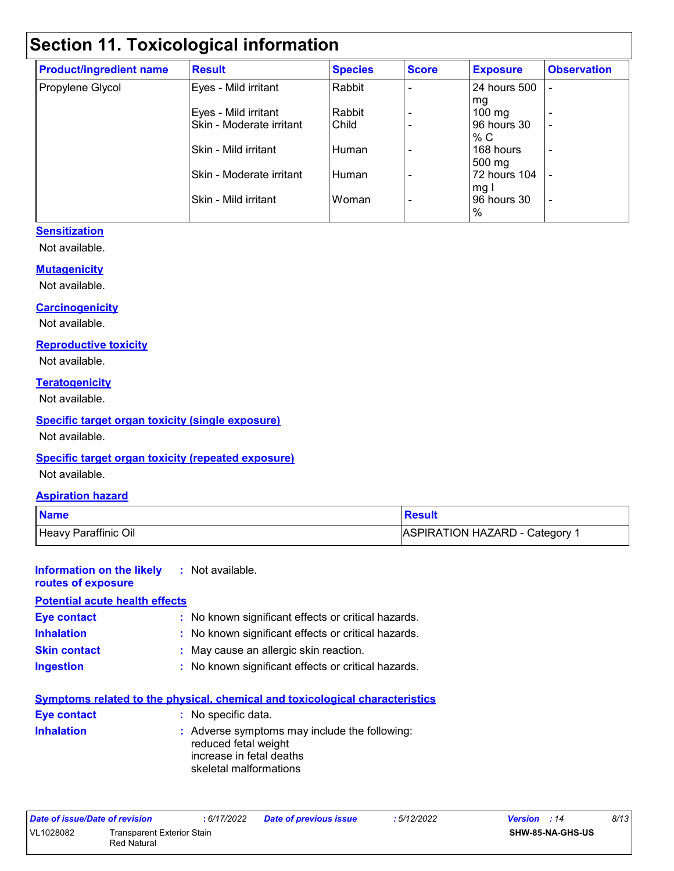## **Section 11. Toxicological information**

| <b>Product/ingredient name</b> | <b>Result</b>            | <b>Species</b> | <b>Score</b> | <b>Exposure</b>  | <b>Observation</b> |
|--------------------------------|--------------------------|----------------|--------------|------------------|--------------------|
| Propylene Glycol               | Eyes - Mild irritant     | Rabbit         |              | 24 hours 500     |                    |
|                                |                          |                |              | mg               |                    |
|                                | Eyes - Mild irritant     | Rabbit         |              | $100 \text{ mg}$ | $\overline{a}$     |
|                                | Skin - Moderate irritant | Child          |              | 96 hours 30      | ٠                  |
|                                |                          |                |              | % C              |                    |
|                                | Skin - Mild irritant     | Human          |              | 168 hours        | ٠                  |
|                                |                          |                |              | 500 mg           |                    |
|                                | Skin - Moderate irritant | Human          |              | 72 hours 104     |                    |
|                                |                          |                |              | mg I             |                    |
|                                | Skin - Mild irritant     | Woman          |              | 96 hours 30      | ٠                  |
|                                |                          |                |              | %                |                    |

#### **Sensitization**

Not available.

#### **Mutagenicity**

Not available.

#### **Carcinogenicity**

Not available.

#### **Reproductive toxicity**

Not available.

#### **Teratogenicity**

Not available.

#### **Specific target organ toxicity (single exposure)**

Not available.

#### **Specific target organ toxicity (repeated exposure)**

Not available.

#### **Aspiration hazard**

| <b>Name</b>          | <b>Result</b>                |
|----------------------|------------------------------|
| Heavy Paraffinic Oil | ASPIRATION HAZARD - Category |

#### **Information on the likely :** Not available. **routes of exposure Potential acute health effects**

| PULPINIAI ACULE HEARTH ENECLY |                                                     |
|-------------------------------|-----------------------------------------------------|
| <b>Eye contact</b>            | : No known significant effects or critical hazards. |
| <b>Inhalation</b>             | : No known significant effects or critical hazards. |
| <b>Skin contact</b>           | : May cause an allergic skin reaction.              |
| <b>Ingestion</b>              | : No known significant effects or critical hazards. |

| <b>Symptoms related to the physical, chemical and toxicological characteristics</b> |                                                                                                                             |  |  |  |
|-------------------------------------------------------------------------------------|-----------------------------------------------------------------------------------------------------------------------------|--|--|--|
| Eye contact                                                                         | : No specific data.                                                                                                         |  |  |  |
| <b>Inhalation</b>                                                                   | : Adverse symptoms may include the following:<br>reduced fetal weight<br>increase in fetal deaths<br>skeletal malformations |  |  |  |

| Date of issue/Date of revision |                            | :6/17/2022 | Date of previous issue | : 5/12/2022 | <b>Version</b> : 14     | 8/13 |
|--------------------------------|----------------------------|------------|------------------------|-------------|-------------------------|------|
| VL1028082                      | Transparent Exterior Stain |            |                        |             | <b>SHW-85-NA-GHS-US</b> |      |
|                                | Red Natural                |            |                        |             |                         |      |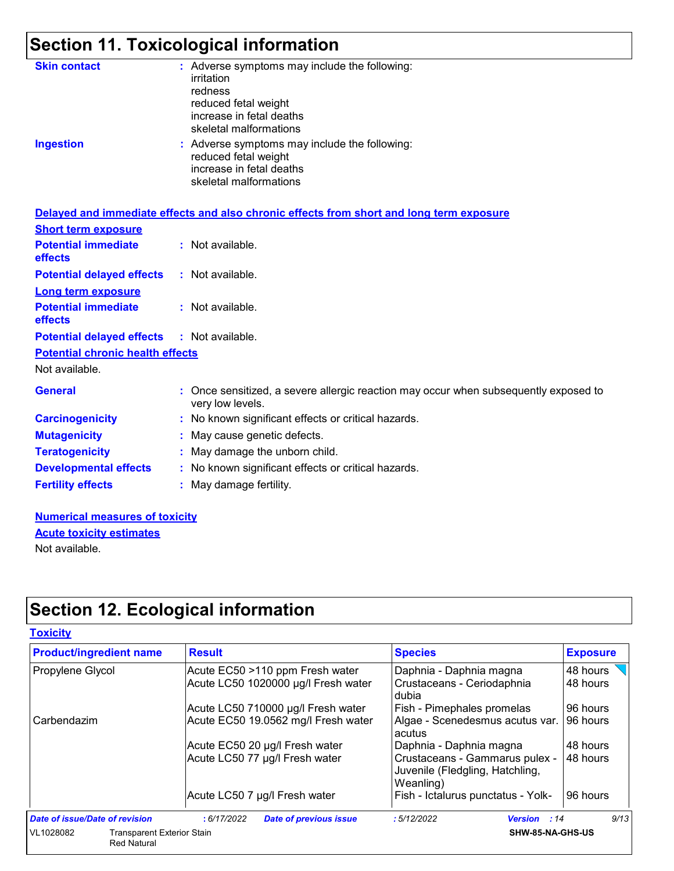## **Section 11. Toxicological information**

| <b>Skin contact</b><br><b>Ingestion</b>      | : Adverse symptoms may include the following:<br>irritation<br>redness<br>reduced fetal weight<br>increase in fetal deaths<br>skeletal malformations<br>: Adverse symptoms may include the following:<br>reduced fetal weight<br>increase in fetal deaths<br>skeletal malformations |
|----------------------------------------------|-------------------------------------------------------------------------------------------------------------------------------------------------------------------------------------------------------------------------------------------------------------------------------------|
|                                              | Delayed and immediate effects and also chronic effects from short and long term exposure                                                                                                                                                                                            |
| <b>Short term exposure</b>                   |                                                                                                                                                                                                                                                                                     |
| <b>Potential immediate</b><br><b>effects</b> | : Not available.                                                                                                                                                                                                                                                                    |
| <b>Potential delayed effects</b>             | : Not available.                                                                                                                                                                                                                                                                    |
| <b>Long term exposure</b>                    |                                                                                                                                                                                                                                                                                     |
| <b>Potential immediate</b><br>effects        | : Not available.                                                                                                                                                                                                                                                                    |
| <b>Potential delayed effects</b>             | : Not available.                                                                                                                                                                                                                                                                    |
| <b>Potential chronic health effects</b>      |                                                                                                                                                                                                                                                                                     |
| Not available.                               |                                                                                                                                                                                                                                                                                     |
| <b>General</b>                               | : Once sensitized, a severe allergic reaction may occur when subsequently exposed to<br>very low levels.                                                                                                                                                                            |
| <b>Carcinogenicity</b>                       | : No known significant effects or critical hazards.                                                                                                                                                                                                                                 |
| <b>Mutagenicity</b>                          | May cause genetic defects.                                                                                                                                                                                                                                                          |
| <b>Teratogenicity</b>                        | : May damage the unborn child.                                                                                                                                                                                                                                                      |
| <b>Developmental effects</b>                 | : No known significant effects or critical hazards.                                                                                                                                                                                                                                 |
| <b>Fertility effects</b>                     | : May damage fertility.                                                                                                                                                                                                                                                             |
|                                              |                                                                                                                                                                                                                                                                                     |

#### **Numerical measures of toxicity** Not available. **Acute toxicity estimates**

**Section 12. Ecological information**

| <b>Toxicity</b>                                                      |                                             |                                                                                |                 |
|----------------------------------------------------------------------|---------------------------------------------|--------------------------------------------------------------------------------|-----------------|
| <b>Product/ingredient name</b>                                       | <b>Result</b>                               | <b>Species</b>                                                                 | <b>Exposure</b> |
| Propylene Glycol                                                     | Acute EC50 >110 ppm Fresh water             | Daphnia - Daphnia magna                                                        | 48 hours        |
|                                                                      | Acute LC50 1020000 µg/l Fresh water         | Crustaceans - Ceriodaphnia<br>dubia                                            | 48 hours        |
|                                                                      | Acute LC50 710000 µg/l Fresh water          | Fish - Pimephales promelas                                                     | 96 hours        |
| Carbendazim                                                          | Acute EC50 19.0562 mg/l Fresh water         | Algae - Scenedesmus acutus var.<br>acutus                                      | 96 hours        |
|                                                                      | Acute EC50 20 µg/l Fresh water              | Daphnia - Daphnia magna                                                        | 48 hours        |
|                                                                      | Acute LC50 77 µg/l Fresh water              | Crustaceans - Gammarus pulex -<br>Juvenile (Fledgling, Hatchling,<br>Weanling) | 48 hours        |
|                                                                      | Acute LC50 7 µg/l Fresh water               | Fish - Ictalurus punctatus - Yolk-                                             | 96 hours        |
| <b>Date of issue/Date of revision</b>                                | :6/17/2022<br><b>Date of previous issue</b> | :5/12/2022<br><b>Version</b> : 14                                              | 9/13            |
| VL1028082<br><b>Transparent Exterior Stain</b><br><b>Red Natural</b> |                                             | SHW-85-NA-GHS-US                                                               |                 |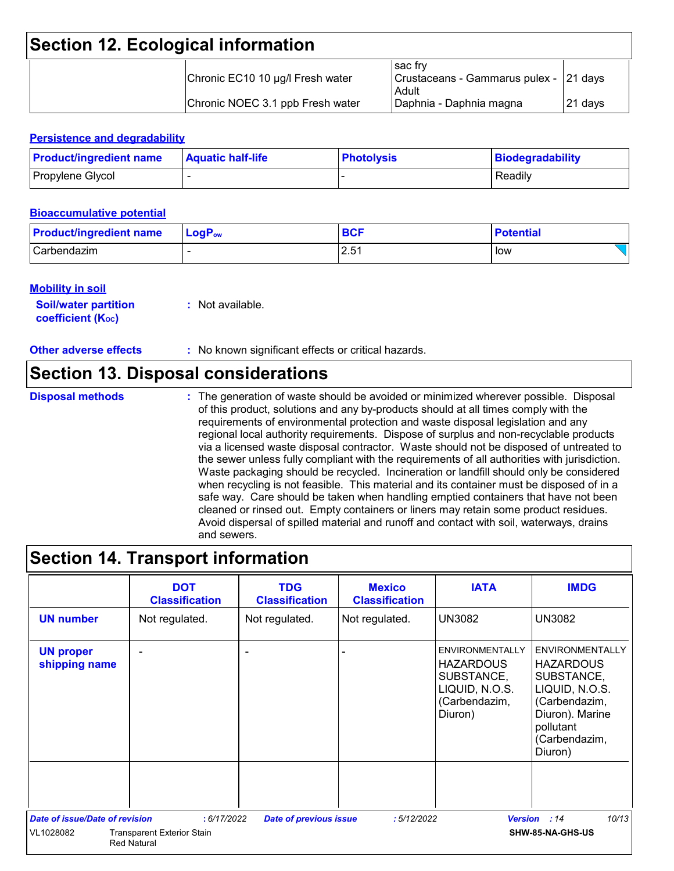## **Section 12. Ecological information**

|  | Chronic EC10 10 µg/l Fresh water | sac frv<br>  Crustaceans - Gammarus pulex - 21 days<br>Adult |          |
|--|----------------------------------|--------------------------------------------------------------|----------|
|  | Chronic NOEC 3.1 ppb Fresh water | Daphnia - Daphnia magna                                      | ⊥21 days |

#### **Persistence and degradability**

| <b>Product/ingredient name</b> | <b>Aquatic half-life</b> | <b>Photolysis</b> | Biodegradability |
|--------------------------------|--------------------------|-------------------|------------------|
| Propylene Glycol               |                          |                   | Readily          |

#### **Bioaccumulative potential**

| <b>Product/ingredient name</b> | $\blacksquare$ Log $\mathsf{P}_\mathsf{ow}$ | <b>BCF</b> | <b>Potential</b> |
|--------------------------------|---------------------------------------------|------------|------------------|
| Carbendazim                    |                                             | 2.51       | low              |

#### **Mobility in soil**

| <b>Soil/water partition</b> | : Not available. |
|-----------------------------|------------------|
| <b>coefficient (Koc)</b>    |                  |

**Other adverse effects** : No known significant effects or critical hazards.

### **Section 13. Disposal considerations**

**Disposal methods :**

The generation of waste should be avoided or minimized wherever possible. Disposal of this product, solutions and any by-products should at all times comply with the requirements of environmental protection and waste disposal legislation and any regional local authority requirements. Dispose of surplus and non-recyclable products via a licensed waste disposal contractor. Waste should not be disposed of untreated to the sewer unless fully compliant with the requirements of all authorities with jurisdiction. Waste packaging should be recycled. Incineration or landfill should only be considered when recycling is not feasible. This material and its container must be disposed of in a safe way. Care should be taken when handling emptied containers that have not been cleaned or rinsed out. Empty containers or liners may retain some product residues. Avoid dispersal of spilled material and runoff and contact with soil, waterways, drains and sewers.

## **Section 14. Transport information**

|                                       | <b>DOT</b><br><b>Classification</b>                     | <b>TDG</b><br><b>Classification</b> | <b>Mexico</b><br><b>Classification</b> | <b>IATA</b>                                                                                            | <b>IMDG</b>                                                                                                                                             |
|---------------------------------------|---------------------------------------------------------|-------------------------------------|----------------------------------------|--------------------------------------------------------------------------------------------------------|---------------------------------------------------------------------------------------------------------------------------------------------------------|
| <b>UN number</b>                      | Not regulated.                                          | Not regulated.                      | Not regulated.                         | <b>UN3082</b>                                                                                          | <b>UN3082</b>                                                                                                                                           |
| <b>UN proper</b><br>shipping name     |                                                         |                                     |                                        | <b>ENVIRONMENTALLY</b><br><b>HAZARDOUS</b><br>SUBSTANCE,<br>LIQUID, N.O.S.<br>(Carbendazim,<br>Diuron) | <b>ENVIRONMENTALLY</b><br><b>HAZARDOUS</b><br>SUBSTANCE,<br>LIQUID, N.O.S.<br>(Carbendazim,<br>Diuron). Marine<br>pollutant<br>(Carbendazim,<br>Diuron) |
| <b>Date of issue/Date of revision</b> | : 6/17/2022                                             | <b>Date of previous issue</b>       | :5/12/2022                             | <b>Version</b>                                                                                         | 10/13<br>: 14                                                                                                                                           |
| VL1028082                             | <b>Transparent Exterior Stain</b><br><b>Red Natural</b> |                                     |                                        |                                                                                                        | SHW-85-NA-GHS-US                                                                                                                                        |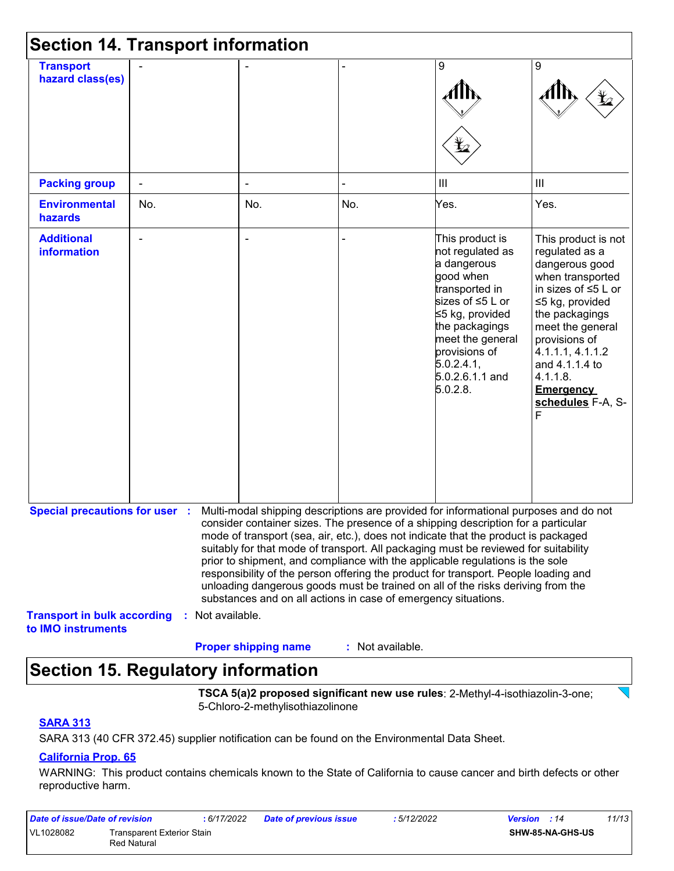| <b>Section 14. Transport information</b>                 |     |                  |                                                                |                  |                                                                                                                                                                                                                                                                                                                                                                                                                                                                                                                                                                                                                   |                                                                                                                                                                                                                                                                                    |
|----------------------------------------------------------|-----|------------------|----------------------------------------------------------------|------------------|-------------------------------------------------------------------------------------------------------------------------------------------------------------------------------------------------------------------------------------------------------------------------------------------------------------------------------------------------------------------------------------------------------------------------------------------------------------------------------------------------------------------------------------------------------------------------------------------------------------------|------------------------------------------------------------------------------------------------------------------------------------------------------------------------------------------------------------------------------------------------------------------------------------|
| <b>Transport</b><br>hazard class(es)                     |     |                  |                                                                |                  | 9<br>Ł                                                                                                                                                                                                                                                                                                                                                                                                                                                                                                                                                                                                            | 9                                                                                                                                                                                                                                                                                  |
| <b>Packing group</b>                                     |     |                  |                                                                |                  | $\mathbf{III}$                                                                                                                                                                                                                                                                                                                                                                                                                                                                                                                                                                                                    | III                                                                                                                                                                                                                                                                                |
| <b>Environmental</b><br>hazards                          | No. |                  | No.                                                            | No.              | Yes.                                                                                                                                                                                                                                                                                                                                                                                                                                                                                                                                                                                                              | Yes.                                                                                                                                                                                                                                                                               |
| <b>Additional</b><br><b>information</b>                  |     |                  |                                                                |                  | This product is<br>not regulated as<br>a dangerous<br>good when<br>transported in<br>sizes of ≤5 L or<br>≤5 kg, provided<br>the packagings<br>meet the general<br>provisions of<br>5.0.2.4.1<br>5.0.2.6.1.1 and<br>5.0.2.8.                                                                                                                                                                                                                                                                                                                                                                                       | This product is not<br>regulated as a<br>dangerous good<br>when transported<br>in sizes of $\leq 5$ L or<br>≤5 kg, provided<br>the packagings<br>meet the general<br>provisions of<br>4.1.1.1, 4.1.1.2<br>and 4.1.1.4 to<br>4.1.1.8.<br><b>Emergency</b><br>schedules F-A, S-<br>F |
| <b>Special precautions for user :</b>                    |     |                  | substances and on all actions in case of emergency situations. |                  | Multi-modal shipping descriptions are provided for informational purposes and do not<br>consider container sizes. The presence of a shipping description for a particular<br>mode of transport (sea, air, etc.), does not indicate that the product is packaged<br>suitably for that mode of transport. All packaging must be reviewed for suitability<br>prior to shipment, and compliance with the applicable regulations is the sole<br>responsibility of the person offering the product for transport. People loading and<br>unloading dangerous goods must be trained on all of the risks deriving from the |                                                                                                                                                                                                                                                                                    |
| <b>Transport in bulk according</b><br>to IMO instruments |     | : Not available. | <b>Proper shipping name</b>                                    | : Not available. |                                                                                                                                                                                                                                                                                                                                                                                                                                                                                                                                                                                                                   |                                                                                                                                                                                                                                                                                    |

## **Section 15. Regulatory information**

**TSCA 5(a)2 proposed significant new use rules**: 2-Methyl-4-isothiazolin-3-one; 5-Chloro-2-methylisothiazolinone

#### **SARA 313**

SARA 313 (40 CFR 372.45) supplier notification can be found on the Environmental Data Sheet.

#### **California Prop. 65**

WARNING: This product contains chemicals known to the State of California to cause cancer and birth defects or other reproductive harm.

| Date of issue/Date of revision |                                           | : 6/17/2022 | <b>Date of previous issue</b> | : 5/12/2022 | 11/13<br><b>Version</b> : 14 |
|--------------------------------|-------------------------------------------|-------------|-------------------------------|-------------|------------------------------|
| VL1028082                      | Transparent Exterior Stain<br>Red Natural |             |                               |             | SHW-85-NA-GHS-US             |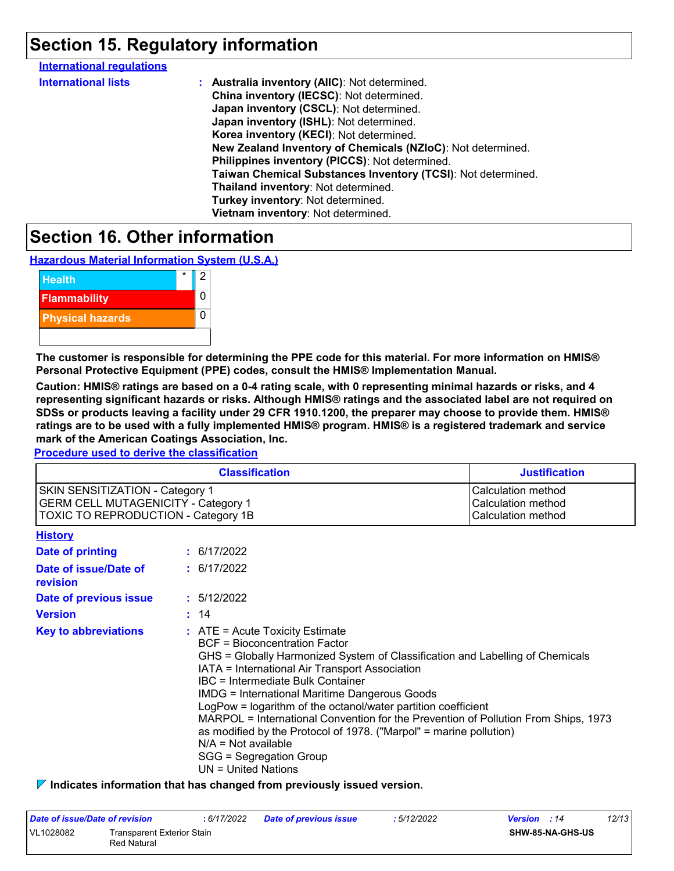## **Section 15. Regulatory information**

| <b>International regulations</b> |                                                              |
|----------------------------------|--------------------------------------------------------------|
| <b>International lists</b>       | : Australia inventory (AIIC): Not determined.                |
|                                  | China inventory (IECSC): Not determined.                     |
|                                  | Japan inventory (CSCL): Not determined.                      |
|                                  | Japan inventory (ISHL): Not determined.                      |
|                                  | Korea inventory (KECI): Not determined.                      |
|                                  | New Zealand Inventory of Chemicals (NZIoC): Not determined.  |
|                                  | Philippines inventory (PICCS): Not determined.               |
|                                  | Taiwan Chemical Substances Inventory (TCSI): Not determined. |
|                                  | Thailand inventory: Not determined.                          |
|                                  | Turkey inventory: Not determined.                            |
|                                  | Vietnam inventory: Not determined.                           |
|                                  |                                                              |

### **Section 16. Other information**

**Hazardous Material Information System (U.S.A.)**



**The customer is responsible for determining the PPE code for this material. For more information on HMIS® Personal Protective Equipment (PPE) codes, consult the HMIS® Implementation Manual.**

**Caution: HMIS® ratings are based on a 0-4 rating scale, with 0 representing minimal hazards or risks, and 4 representing significant hazards or risks. Although HMIS® ratings and the associated label are not required on SDSs or products leaving a facility under 29 CFR 1910.1200, the preparer may choose to provide them. HMIS® ratings are to be used with a fully implemented HMIS® program. HMIS® is a registered trademark and service mark of the American Coatings Association, Inc.**

**Procedure used to derive the classification**

|                                                                                                                                    | <b>Classification</b>                                                                                                                                                                                                                                                                                                                                                                                                                                                                                                                                                                                               | <b>Justification</b>                                           |
|------------------------------------------------------------------------------------------------------------------------------------|---------------------------------------------------------------------------------------------------------------------------------------------------------------------------------------------------------------------------------------------------------------------------------------------------------------------------------------------------------------------------------------------------------------------------------------------------------------------------------------------------------------------------------------------------------------------------------------------------------------------|----------------------------------------------------------------|
| <b>SKIN SENSITIZATION - Category 1</b><br><b>GERM CELL MUTAGENICITY - Category 1</b><br><b>TOXIC TO REPRODUCTION - Category 1B</b> |                                                                                                                                                                                                                                                                                                                                                                                                                                                                                                                                                                                                                     | Calculation method<br>Calculation method<br>Calculation method |
| <b>History</b>                                                                                                                     |                                                                                                                                                                                                                                                                                                                                                                                                                                                                                                                                                                                                                     |                                                                |
| Date of printing                                                                                                                   | : 6/17/2022                                                                                                                                                                                                                                                                                                                                                                                                                                                                                                                                                                                                         |                                                                |
| Date of issue/Date of<br>revision                                                                                                  | : 6/17/2022                                                                                                                                                                                                                                                                                                                                                                                                                                                                                                                                                                                                         |                                                                |
| Date of previous issue                                                                                                             | : 5/12/2022                                                                                                                                                                                                                                                                                                                                                                                                                                                                                                                                                                                                         |                                                                |
| <b>Version</b>                                                                                                                     | : 14                                                                                                                                                                                                                                                                                                                                                                                                                                                                                                                                                                                                                |                                                                |
| <b>Key to abbreviations</b>                                                                                                        | $:$ ATE = Acute Toxicity Estimate<br><b>BCF</b> = Bioconcentration Factor<br>GHS = Globally Harmonized System of Classification and Labelling of Chemicals<br>IATA = International Air Transport Association<br>IBC = Intermediate Bulk Container<br><b>IMDG = International Maritime Dangerous Goods</b><br>LogPow = logarithm of the octanol/water partition coefficient<br>MARPOL = International Convention for the Prevention of Pollution From Ships, 1973<br>as modified by the Protocol of 1978. ("Marpol" = marine pollution)<br>$N/A = Not available$<br>SGG = Segregation Group<br>$UN = United Nations$ |                                                                |

**Indicates information that has changed from previously issued version.**

| Date of issue/Date of revision |                                           | 6/17/2022 | <b>Date of previous issue</b> | : 5/12/2022 | <b>Version</b> : 14 |                  | 12/13 |
|--------------------------------|-------------------------------------------|-----------|-------------------------------|-------------|---------------------|------------------|-------|
| VL1028082                      | Transparent Exterior Stain<br>Red Natural |           |                               |             |                     | SHW-85-NA-GHS-US |       |